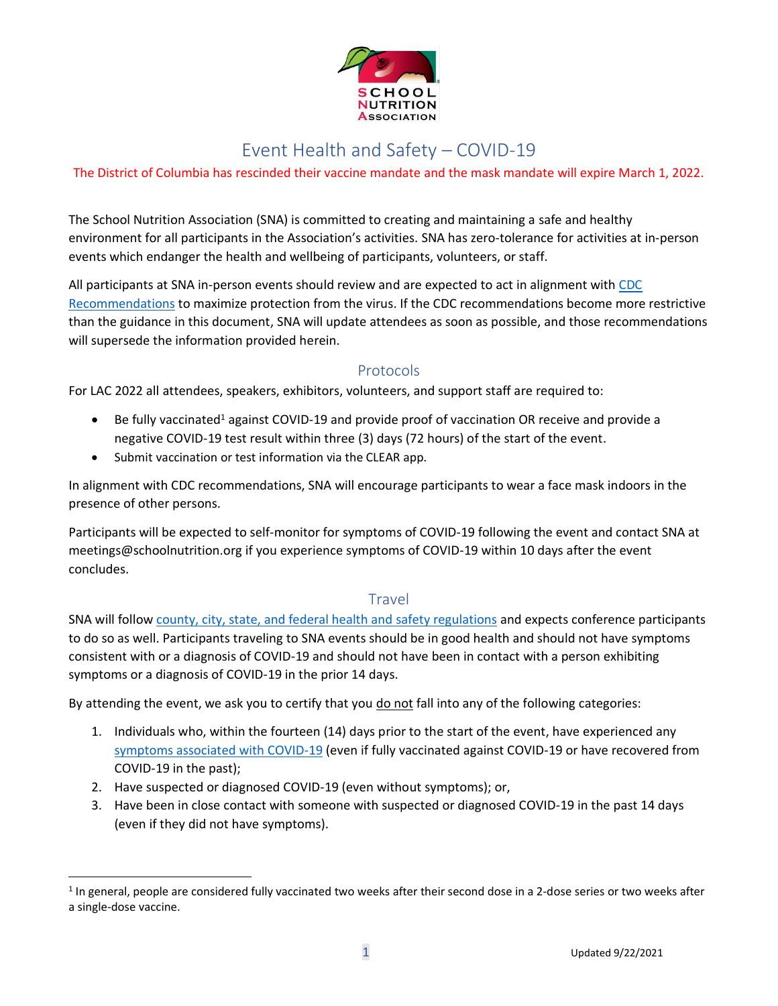

## Event Health and Safety – COVID-19

#### The District of Columbia has rescinded their vaccine mandate and the mask mandate will expire March 1, 2022.

The School Nutrition Association (SNA) is committed to creating and maintaining a safe and healthy environment for all participants in the Association's activities. SNA has zero-tolerance for activities at in-person events which endanger the health and wellbeing of participants, volunteers, or staff.

All participants at SNA in-person events should review and are expected to act in alignment with [CDC](https://www.cdc.gov/coronavirus/2019-ncov/travelers/travel-during-covid19.html)  [Recommendations](https://www.cdc.gov/coronavirus/2019-ncov/travelers/travel-during-covid19.html) to maximize protection from the virus. If the CDC recommendations become more restrictive than the guidance in this document, SNA will update attendees as soon as possible, and those recommendations will supersede the information provided herein.

#### Protocols

For LAC 2022 all attendees, speakers, exhibitors, volunteers, and support staff are required to:

- Be fully vaccinated<sup>1</sup> against COVID-19 and provide proof of vaccination OR receive and provide a negative COVID-19 test result within three (3) days (72 hours) of the start of the event.
- Submit vaccination or test information via the CLEAR app.

In alignment with CDC recommendations, SNA will encourage participants to wear a face mask indoors in the presence of other persons.

Participants will be expected to self-monitor for symptoms of COVID-19 following the event and contact SNA at meetings@schoolnutrition.org if you experience symptoms of COVID-19 within 10 days after the event concludes.

#### Travel

SNA will follow [county, city, state, and federal health and safety regulations](https://www.cdc.gov/coronavirus/2019-ncov/travelers/travel-planner/index.html) and expects conference participants to do so as well. Participants traveling to SNA events should be in good health and should not have symptoms consistent with or a diagnosis of COVID-19 and should not have been in contact with a person exhibiting symptoms or a diagnosis of COVID-19 in the prior 14 days.

By attending the event, we ask you to certify that you do not fall into any of the following categories:

- 1. Individuals who, within the fourteen (14) days prior to the start of the event, have experienced any [symptoms associated](https://www.cdc.gov/coronavirus/2019-ncov/symptoms-testing/symptoms.html) with COVID-19 (even if fully vaccinated against COVID-19 or have recovered from COVID-19 in the past);
- 2. Have suspected or diagnosed COVID-19 (even without symptoms); or,
- 3. Have been in close contact with someone with suspected or diagnosed COVID-19 in the past 14 days (even if they did not have symptoms).

<sup>&</sup>lt;sup>1</sup> In general, people are considered fully vaccinated two weeks after their second dose in a 2-dose series or two weeks after a single-dose vaccine.